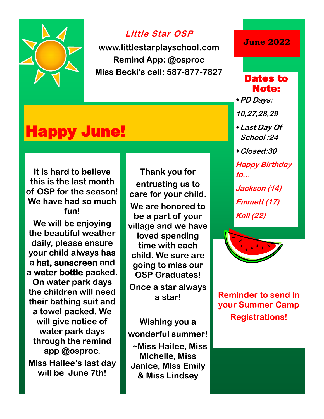

## **Little Star OSP**

**www.littlestarplayschool.com Remind App: @osproc Miss Becki's cell: 587-877-7827** **June 2022**

#### Dates to Note:

**PD Days:**

#### **10,27,28,29**

- **Last Day Of School :24**
- **Closed:30**

**Happy Birthday to…**

**Jackson (14) Emmett (17) Kali (22)**



**Reminder to send in your Summer Camp Registrations!** 

# lappy June!

**It is hard to believe this is the last month of OSP for the season! We have had so much fun!**

**We will be enjoying the beautiful weather daily, please ensure your child always has a hat, sunscreen and a water bottle packed.** 

**On water park days the children will need their bathing suit and a towel packed. We will give notice of water park days through the remind app @osproc.**

**Miss Hailee's last day will be June 7th!** 

**Thank you for entrusting us to care for your child. We are honored to be a part of your village and we have loved spending time with each child. We sure are going to miss our OSP Graduates!**

**Once a star always a star!**

**Wishing you a wonderful summer! ~Miss Hailee, Miss Michelle, Miss Janice, Miss Emily & Miss Lindsey**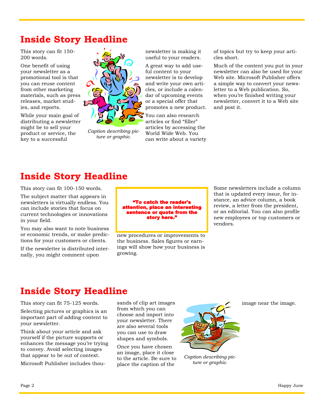### **Inside Story Headline**

This story can fit 150- 200 words.

One benefit of using your newsletter as a promotional tool is that you can reuse content from other marketing materials, such as press releases, market studies, and reports.

While your main goal of distributing a newsletter might be to sell your product or service, the key to a successful



*Caption describing picture or graphic.*

newsletter is making it useful to your readers.

A great way to add useful content to your newsletter is to develop and write your own articles, or include a calendar of upcoming events or a special offer that promotes a new product.

You can also research articles or find "filler" articles by accessing the World Wide Web. You can write about a variety of topics but try to keep your articles short.

Much of the content you put in your newsletter can also be used for your Web site. Microsoft Publisher offers a simple way to convert your newsletter to a Web publication. So, when you're finished writing your newsletter, convert it to a Web site and post it.

# **Inside Story Headline**

This story can fit 100-150 words.

The subject matter that appears in newsletters is virtually endless. You can include stories that focus on current technologies or innovations in your field.

You may also want to note business or economic trends, or make predictions for your customers or clients.

If the newsletter is distributed internally, you might comment upon

"To catch the reader's ion, place an interestin<mark>g</mark> or quote from the story here."

new procedures or improvements to the business. Sales figures or earnings will show how your business is growing.

Some newsletters include a column that is updated every issue, for instance, an advice column, a book review, a letter from the president, or an editorial. You can also profile new employees or top customers or vendors.

#### **Inside Story Headline**

This story can fit 75-125 words.

Selecting pictures or graphics is an important part of adding content to your newsletter.

Think about your article and ask yourself if the picture supports or enhances the message you're trying to convey. Avoid selecting images that appear to be out of context.

Microsoft Publisher includes thou-

sands of clip art images from which you can choose and import into your newsletter. There are also several tools you can use to draw shapes and symbols.

Once you have chosen an image, place it close to the article. Be sure to place the caption of the



*Caption describing picture or graphic.*

image near the image.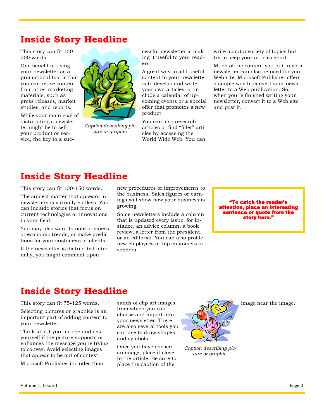#### **Inside Story Headline**

This story can fit 150- 200 words.

One benefit of using your newsletter as a promotional tool is that you can reuse content from other marketing materials, such as press releases, market studies, and reports.

While your main goal of distributing a newsletter might be to sell your product or service, the key to a suc-



*Caption describing picture or graphic.*

cessful newsletter is making it useful to your readers.

A great way to add useful content to your newsletter is to develop and write your own articles, or include a calendar of upcoming events or a special offer that promotes a new product.

You can also research articles or find "filler" articles by accessing the World Wide Web. You can

write about a variety of topics but try to keep your articles short.

Much of the content you put in your newsletter can also be used for your Web site. Microsoft Publisher offers a simple way to convert your newsletter to a Web publication. So, when you're finished writing your newsletter, convert it to a Web site and post it.

# **Inside Story Headline**

This story can fit 100-150 words.

The subject matter that appears in newsletters is virtually endless. You can include stories that focus on current technologies or innovations in your field.

You may also want to note business or economic trends, or make predictions for your customers or clients.

If the newsletter is distributed internally, you might comment upon

new procedures or improvements to the business. Sales figures or earnings will show how your business is growing.

Some newsletters include a column that is updated every issue, for instance, an advice column, a book review, a letter from the president, or an editorial. You can also profile new employees or top customers or vendors.

"To catch the reade ntion, place an intere uote from the story here."

#### **Inside Story Headline**

This story can fit 75-125 words.

Selecting pictures or graphics is an important part of adding content to your newsletter.

Think about your article and ask yourself if the picture supports or enhances the message you're trying to convey. Avoid selecting images that appear to be out of context.

Microsoft Publisher includes thou-

sands of clip art images from which you can choose and import into your newsletter. There are also several tools you can use to draw shapes and symbols.

Once you have chosen an image, place it close to the article. Be sure to place the caption of the



*Caption describing picture or graphic.*

image near the image.